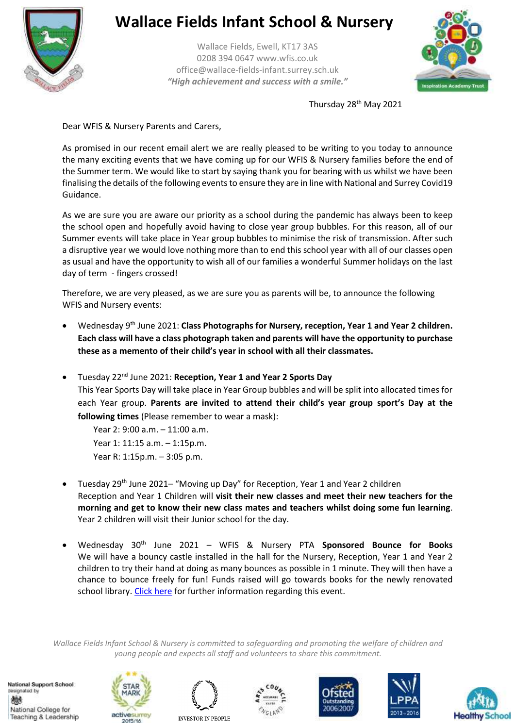

## **Wallace Fields Infant School & Nursery**

Wallace Fields, Ewell, KT17 3AS 0208 394 0647 www.wfis.co.uk office@wallace-fields-infant.surrey.sch.uk *"High achievement and success with a smile."*



Thursday 28<sup>th</sup> May 2021

Dear WFIS & Nursery Parents and Carers,

As promised in our recent email alert we are really pleased to be writing to you today to announce the many exciting events that we have coming up for our WFIS & Nursery families before the end of the Summer term. We would like to start by saying thank you for bearing with us whilst we have been finalising the details of the following events to ensure they are in line with National and Surrey Covid19 Guidance.

As we are sure you are aware our priority as a school during the pandemic has always been to keep the school open and hopefully avoid having to close year group bubbles. For this reason, all of our Summer events will take place in Year group bubbles to minimise the risk of transmission. After such a disruptive year we would love nothing more than to end this school year with all of our classes open as usual and have the opportunity to wish all of our families a wonderful Summer holidays on the last day of term - fingers crossed!

Therefore, we are very pleased, as we are sure you as parents will be, to announce the following WFIS and Nursery events:

- Wednesday 9<sup>th</sup> June 2021: **Class Photographs for Nursery, reception, Year 1 and Year 2 children. Each class will have a class photograph taken and parents will have the opportunity to purchase these as a memento of their child's year in school with all their classmates.**
- Tuesday 22nd June 2021: **Reception, Year 1 and Year 2 Sports Day** This Year Sports Day will take place in Year Group bubbles and will be split into allocated times for each Year group. **Parents are invited to attend their child's year group sport's Day at the following times** (Please remember to wear a mask):

Year 2: 9:00 a.m. – 11:00 a.m. Year 1: 11:15 a.m. – 1:15p.m. Year R: 1:15p.m. – 3:05 p.m.

- Tuesday 29<sup>th</sup> June 2021– "Moving up Day" for Reception, Year 1 and Year 2 children Reception and Year 1 Children will **visit their new classes and meet their new teachers for the morning and get to know their new class mates and teachers whilst doing some fun learning**. Year 2 children will visit their Junior school for the day.
- Wednesday 30th June 2021 WFIS & Nursery PTA **Sponsored Bounce for Books** We will have a bouncy castle installed in the hall for the Nursery, Reception, Year 1 and Year 2 children to try their hand at doing as many bounces as possible in 1 minute. They will then have a chance to bounce freely for fun! Funds raised will go towards books for the newly renovated school library[. Click here](https://wallacefieldsinfant-my.sharepoint.com/:f:/g/personal/collette_pasley_wallace-fields-infant_surrey_sch_uk/EkP7_v2fmj5DgmteqzTcSAkBvt_Evug0YFzuujVPPlI0Cw?e=N5xfK3) for further information regarding this event.

*Wallace Fields Infant School & Nursery is committed to safeguarding and promoting the welfare of children and young people and expects all staff and volunteers to share this commitment.*